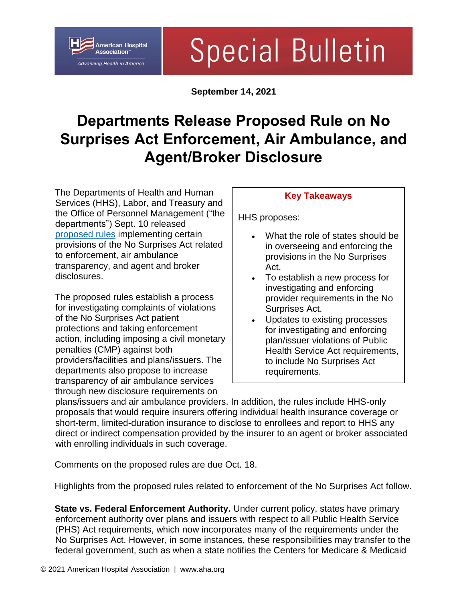

# **Special Bulletin**

**September 14, 2021**

## **Departments Release Proposed Rule on No Surprises Act Enforcement, Air Ambulance, and Agent/Broker Disclosure**

The Departments of Health and Human Services (HHS), Labor, and Treasury and the Office of Personnel Management ("the departments") Sept. 10 released [proposed rules](https://www.federalregister.gov/public-inspection/2021-19797/requirements-related-to-air-ambulance-services-agent-and-broker-disclosures-and-provider-enforcement) implementing certain provisions of the No Surprises Act related to enforcement, air ambulance transparency, and agent and broker disclosures.

The proposed rules establish a process for investigating complaints of violations of the No Surprises Act patient protections and taking enforcement action, including imposing a civil monetary penalties (CMP) against both providers/facilities and plans/issuers. The departments also propose to increase transparency of air ambulance services through new disclosure requirements on

#### **Key Takeaways**

HHS proposes:

- What the role of states should be in overseeing and enforcing the provisions in the No Surprises Act.
- To establish a new process for investigating and enforcing provider requirements in the No Surprises Act.
- Updates to existing processes for investigating and enforcing plan/issuer violations of Public Health Service Act requirements, to include No Surprises Act requirements.

plans/issuers and air ambulance providers. In addition, the rules include HHS-only proposals that would require insurers offering individual health insurance coverage or short-term, limited-duration insurance to disclose to enrollees and report to HHS any direct or indirect compensation provided by the insurer to an agent or broker associated with enrolling individuals in such coverage.

Comments on the proposed rules are due Oct. 18.

Highlights from the proposed rules related to enforcement of the No Surprises Act follow.

**State vs. Federal Enforcement Authority.** Under current policy, states have primary enforcement authority over plans and issuers with respect to all Public Health Service (PHS) Act requirements, which now incorporates many of the requirements under the No Surprises Act. However, in some instances, these responsibilities may transfer to the federal government, such as when a state notifies the Centers for Medicare & Medicaid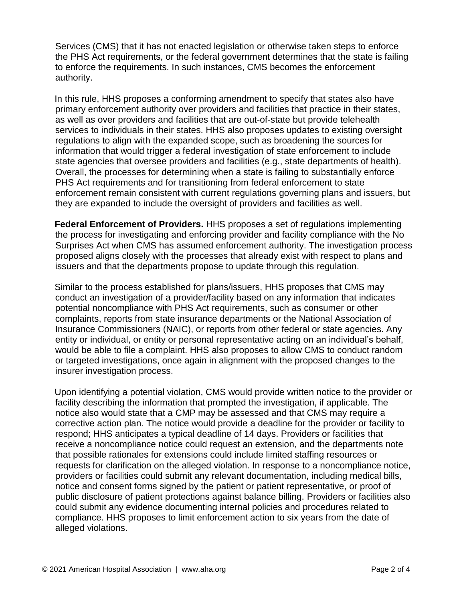Services (CMS) that it has not enacted legislation or otherwise taken steps to enforce the PHS Act requirements, or the federal government determines that the state is failing to enforce the requirements. In such instances, CMS becomes the enforcement authority.

In this rule, HHS proposes a conforming amendment to specify that states also have primary enforcement authority over providers and facilities that practice in their states, as well as over providers and facilities that are out-of-state but provide telehealth services to individuals in their states. HHS also proposes updates to existing oversight regulations to align with the expanded scope, such as broadening the sources for information that would trigger a federal investigation of state enforcement to include state agencies that oversee providers and facilities (e.g., state departments of health). Overall, the processes for determining when a state is failing to substantially enforce PHS Act requirements and for transitioning from federal enforcement to state enforcement remain consistent with current regulations governing plans and issuers, but they are expanded to include the oversight of providers and facilities as well.

**Federal Enforcement of Providers.** HHS proposes a set of regulations implementing the process for investigating and enforcing provider and facility compliance with the No Surprises Act when CMS has assumed enforcement authority. The investigation process proposed aligns closely with the processes that already exist with respect to plans and issuers and that the departments propose to update through this regulation.

Similar to the process established for plans/issuers, HHS proposes that CMS may conduct an investigation of a provider/facility based on any information that indicates potential noncompliance with PHS Act requirements, such as consumer or other complaints, reports from state insurance departments or the National Association of Insurance Commissioners (NAIC), or reports from other federal or state agencies. Any entity or individual, or entity or personal representative acting on an individual's behalf, would be able to file a complaint. HHS also proposes to allow CMS to conduct random or targeted investigations, once again in alignment with the proposed changes to the insurer investigation process.

Upon identifying a potential violation, CMS would provide written notice to the provider or facility describing the information that prompted the investigation, if applicable. The notice also would state that a CMP may be assessed and that CMS may require a corrective action plan. The notice would provide a deadline for the provider or facility to respond; HHS anticipates a typical deadline of 14 days. Providers or facilities that receive a noncompliance notice could request an extension, and the departments note that possible rationales for extensions could include limited staffing resources or requests for clarification on the alleged violation. In response to a noncompliance notice, providers or facilities could submit any relevant documentation, including medical bills, notice and consent forms signed by the patient or patient representative, or proof of public disclosure of patient protections against balance billing. Providers or facilities also could submit any evidence documenting internal policies and procedures related to compliance. HHS proposes to limit enforcement action to six years from the date of alleged violations.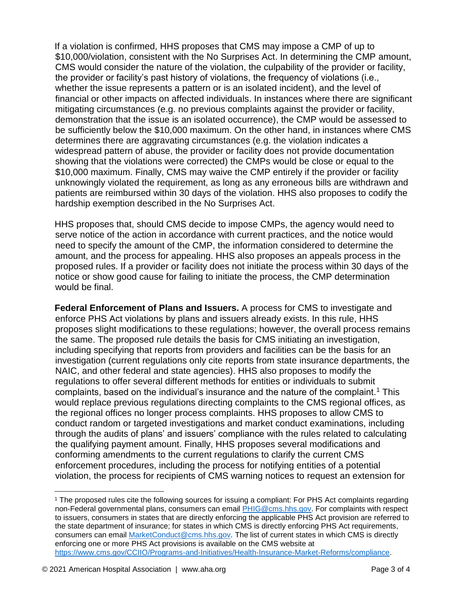If a violation is confirmed, HHS proposes that CMS may impose a CMP of up to \$10,000/violation, consistent with the No Surprises Act. In determining the CMP amount, CMS would consider the nature of the violation, the culpability of the provider or facility, the provider or facility's past history of violations, the frequency of violations (i.e., whether the issue represents a pattern or is an isolated incident), and the level of financial or other impacts on affected individuals. In instances where there are significant mitigating circumstances (e.g. no previous complaints against the provider or facility, demonstration that the issue is an isolated occurrence), the CMP would be assessed to be sufficiently below the \$10,000 maximum. On the other hand, in instances where CMS determines there are aggravating circumstances (e.g. the violation indicates a widespread pattern of abuse, the provider or facility does not provide documentation showing that the violations were corrected) the CMPs would be close or equal to the \$10,000 maximum. Finally, CMS may waive the CMP entirely if the provider or facility unknowingly violated the requirement, as long as any erroneous bills are withdrawn and patients are reimbursed within 30 days of the violation. HHS also proposes to codify the hardship exemption described in the No Surprises Act.

HHS proposes that, should CMS decide to impose CMPs, the agency would need to serve notice of the action in accordance with current practices, and the notice would need to specify the amount of the CMP, the information considered to determine the amount, and the process for appealing. HHS also proposes an appeals process in the proposed rules. If a provider or facility does not initiate the process within 30 days of the notice or show good cause for failing to initiate the process, the CMP determination would be final.

**Federal Enforcement of Plans and Issuers.** A process for CMS to investigate and enforce PHS Act violations by plans and issuers already exists. In this rule, HHS proposes slight modifications to these regulations; however, the overall process remains the same. The proposed rule details the basis for CMS initiating an investigation, including specifying that reports from providers and facilities can be the basis for an investigation (current regulations only cite reports from state insurance departments, the NAIC, and other federal and state agencies). HHS also proposes to modify the regulations to offer several different methods for entities or individuals to submit complaints, based on the individual's insurance and the nature of the complaint.<sup>1</sup> This would replace previous regulations directing complaints to the CMS regional offices, as the regional offices no longer process complaints. HHS proposes to allow CMS to conduct random or targeted investigations and market conduct examinations, including through the audits of plans' and issuers' compliance with the rules related to calculating the qualifying payment amount. Finally, HHS proposes several modifications and conforming amendments to the current regulations to clarify the current CMS enforcement procedures, including the process for notifying entities of a potential violation, the process for recipients of CMS warning notices to request an extension for

 $\overline{a}$ 

<sup>1</sup> The proposed rules cite the following sources for issuing a compliant: For PHS Act complaints regarding non-Federal governmental plans, consumers can email [PHIG@cms.hhs.gov.](mailto:PHIG@cms.hhs.gov) For complaints with respect to issuers, consumers in states that are directly enforcing the applicable PHS Act provision are referred to the state department of insurance; for states in which CMS is directly enforcing PHS Act requirements, consumers can email [MarketConduct@cms.hhs.gov.](mailto:MarketConduct@cms.hhs.gov) The list of current states in which CMS is directly enforcing one or more PHS Act provisions is available on the CMS website at [https://www.cms.gov/CCIIO/Programs-and-Initiatives/Health-Insurance-Market-Reforms/compliance.](https://www.cms.gov/CCIIO/Programs-and-Initiatives/Health-Insurance-Market-Reforms/compliance)